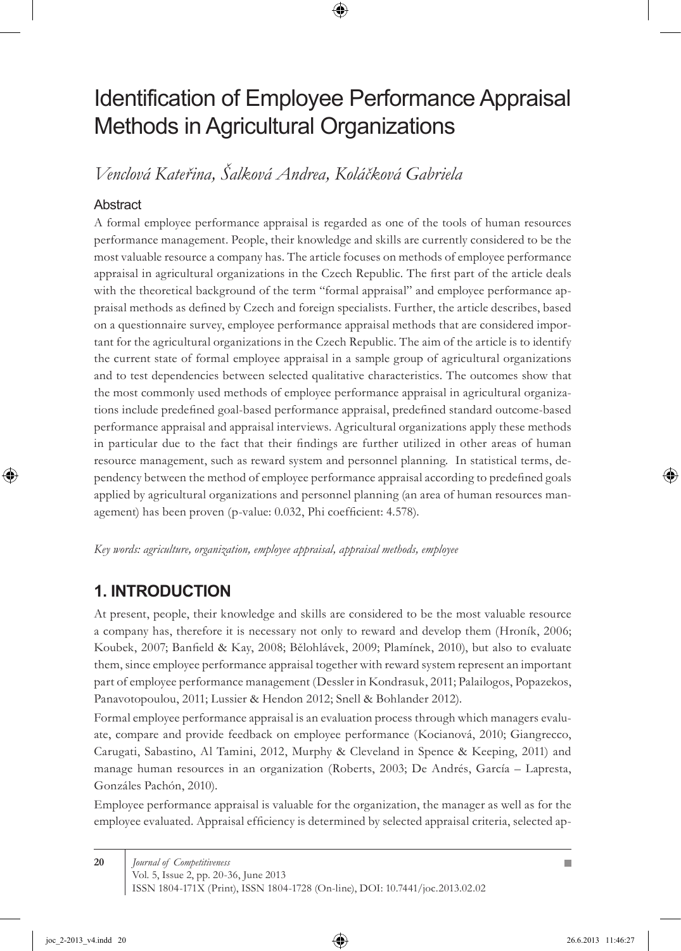# Identification of Employee Performance Appraisal Methods in Agricultural Organizations

*Venclová Kateřina, Šalková Andrea, Koláčková Gabriela*

#### **Abstract**

A formal employee performance appraisal is regarded as one of the tools of human resources performance management. People, their knowledge and skills are currently considered to be the most valuable resource a company has. The article focuses on methods of employee performance appraisal in agricultural organizations in the Czech Republic. The first part of the article deals with the theoretical background of the term "formal appraisal" and employee performance appraisal methods as defined by Czech and foreign specialists. Further, the article describes, based on a questionnaire survey, employee performance appraisal methods that are considered important for the agricultural organizations in the Czech Republic. The aim of the article is to identify the current state of formal employee appraisal in a sample group of agricultural organizations and to test dependencies between selected qualitative characteristics. The outcomes show that the most commonly used methods of employee performance appraisal in agricultural organizations include predefined goal-based performance appraisal, predefined standard outcome-based performance appraisal and appraisal interviews. Agricultural organizations apply these methods in particular due to the fact that their findings are further utilized in other areas of human resource management, such as reward system and personnel planning. In statistical terms, dependency between the method of employee performance appraisal according to predefined goals applied by agricultural organizations and personnel planning (an area of human resources management) has been proven (p-value: 0.032, Phi coefficient: 4.578).

*Key words: agriculture, organization, employee appraisal, appraisal methods, employee*

### **1. INTRODUCTION**

At present, people, their knowledge and skills are considered to be the most valuable resource a company has, therefore it is necessary not only to reward and develop them (Hroník, 2006; Koubek, 2007; Banfield & Kay, 2008; Bělohlávek, 2009; Plamínek, 2010), but also to evaluate them, since employee performance appraisal together with reward system represent an important part of employee performance management (Dessler in Kondrasuk, 2011; Palailogos, Popazekos, Panavotopoulou, 2011; Lussier & Hendon 2012; Snell & Bohlander 2012).

Formal employee performance appraisal is an evaluation process through which managers evaluate, compare and provide feedback on employee performance (Kocianová, 2010; Giangrecco, Carugati, Sabastino, Al Tamini, 2012, Murphy & Cleveland in Spence & Keeping, 2011) and manage human resources in an organization (Roberts, 2003; De Andrés, García – Lapresta, Gonzáles Pachón, 2010).

Employee performance appraisal is valuable for the organization, the manager as well as for the employee evaluated. Appraisal efficiency is determined by selected appraisal criteria, selected ap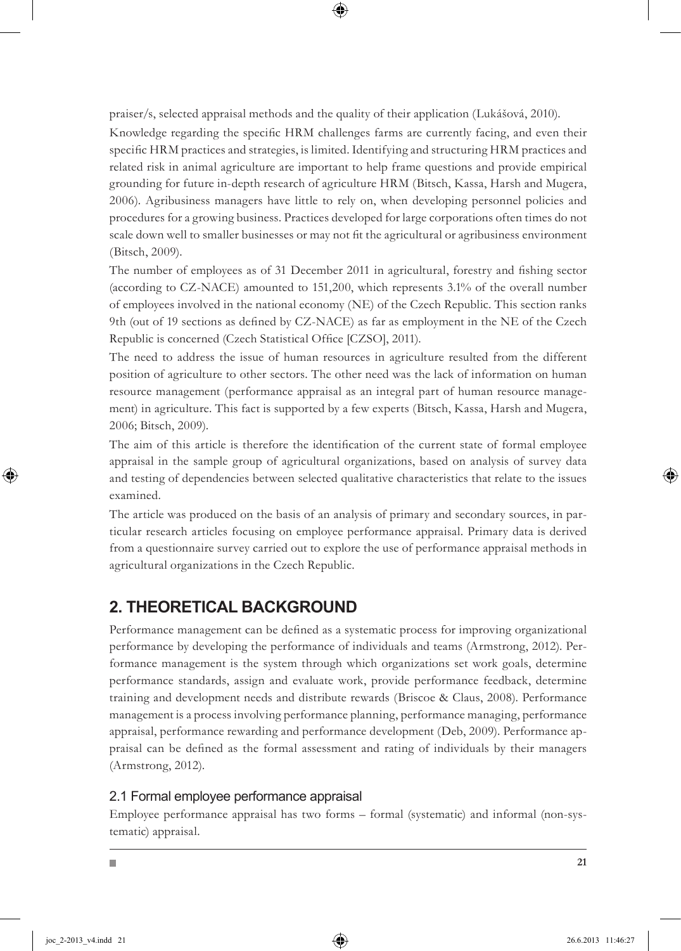praiser/s, selected appraisal methods and the quality of their application (Lukášová, 2010).

Knowledge regarding the specific HRM challenges farms are currently facing, and even their specific HRM practices and strategies, is limited. Identifying and structuring HRM practices and related risk in animal agriculture are important to help frame questions and provide empirical grounding for future in-depth research of agriculture HRM (Bitsch, Kassa, Harsh and Mugera, 2006). Agribusiness managers have little to rely on, when developing personnel policies and procedures for a growing business. Practices developed for large corporations often times do not scale down well to smaller businesses or may not fit the agricultural or agribusiness environment (Bitsch, 2009).

The number of employees as of 31 December 2011 in agricultural, forestry and fishing sector (according to CZ-NACE) amounted to 151,200, which represents 3.1% of the overall number of employees involved in the national economy (NE) of the Czech Republic. This section ranks 9th (out of 19 sections as defined by CZ-NACE) as far as employment in the NE of the Czech Republic is concerned (Czech Statistical Office [CZSO], 2011).

The need to address the issue of human resources in agriculture resulted from the different position of agriculture to other sectors. The other need was the lack of information on human resource management (performance appraisal as an integral part of human resource management) in agriculture. This fact is supported by a few experts (Bitsch, Kassa, Harsh and Mugera, 2006; Bitsch, 2009).

The aim of this article is therefore the identification of the current state of formal employee appraisal in the sample group of agricultural organizations, based on analysis of survey data and testing of dependencies between selected qualitative characteristics that relate to the issues examined.

The article was produced on the basis of an analysis of primary and secondary sources, in particular research articles focusing on employee performance appraisal. Primary data is derived from a questionnaire survey carried out to explore the use of performance appraisal methods in agricultural organizations in the Czech Republic.

# **2. THEORETICAL BACKGROUND**

Performance management can be defined as a systematic process for improving organizational performance by developing the performance of individuals and teams (Armstrong, 2012). Performance management is the system through which organizations set work goals, determine performance standards, assign and evaluate work, provide performance feedback, determine training and development needs and distribute rewards (Briscoe & Claus, 2008). Performance management is a process involving performance planning, performance managing, performance appraisal, performance rewarding and performance development (Deb, 2009). Performance appraisal can be defined as the formal assessment and rating of individuals by their managers (Armstrong, 2012).

### 2.1 Formal employee performance appraisal

Employee performance appraisal has two forms – formal (systematic) and informal (non-systematic) appraisal.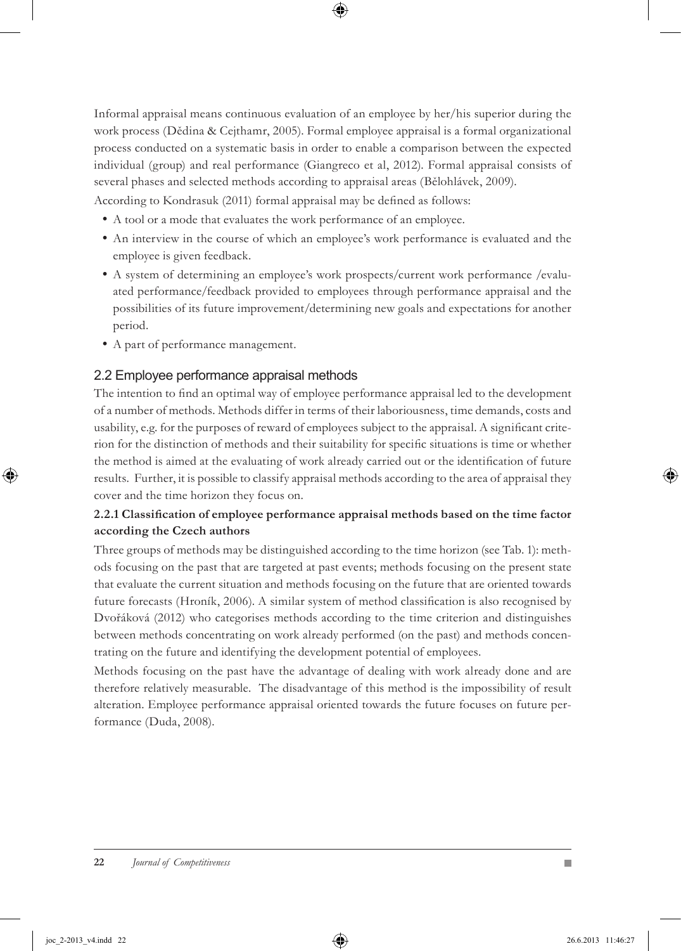Informal appraisal means continuous evaluation of an employee by her/his superior during the work process (Dědina & Cejthamr, 2005). Formal employee appraisal is a formal organizational process conducted on a systematic basis in order to enable a comparison between the expected individual (group) and real performance (Giangreco et al, 2012). Formal appraisal consists of several phases and selected methods according to appraisal areas (Bělohlávek, 2009).

According to Kondrasuk (2011) formal appraisal may be defined as follows:

- A tool or a mode that evaluates the work performance of an employee.
- An interview in the course of which an employee's work performance is evaluated and the employee is given feedback.
- A system of determining an employee's work prospects/current work performance /evalu ated performance/feedback provided to employees through performance appraisal and the possibilities of its future improvement/determining new goals and expectations for another period.
- A part of performance management.

### 2.2 Employee performance appraisal methods

The intention to find an optimal way of employee performance appraisal led to the development of a number of methods. Methods differ in terms of their laboriousness, time demands, costs and usability, e.g. for the purposes of reward of employees subject to the appraisal. A significant criterion for the distinction of methods and their suitability for specific situations is time or whether the method is aimed at the evaluating of work already carried out or the identification of future results. Further, it is possible to classify appraisal methods according to the area of appraisal they cover and the time horizon they focus on.

#### **2.2.1 Classification of employee performance appraisal methods based on the time factor according the Czech authors**

Three groups of methods may be distinguished according to the time horizon (see Tab. 1): methods focusing on the past that are targeted at past events; methods focusing on the present state that evaluate the current situation and methods focusing on the future that are oriented towards future forecasts (Hroník, 2006). A similar system of method classification is also recognised by Dvořáková (2012) who categorises methods according to the time criterion and distinguishes between methods concentrating on work already performed (on the past) and methods concentrating on the future and identifying the development potential of employees.

Methods focusing on the past have the advantage of dealing with work already done and are therefore relatively measurable. The disadvantage of this method is the impossibility of result alteration. Employee performance appraisal oriented towards the future focuses on future performance (Duda, 2008).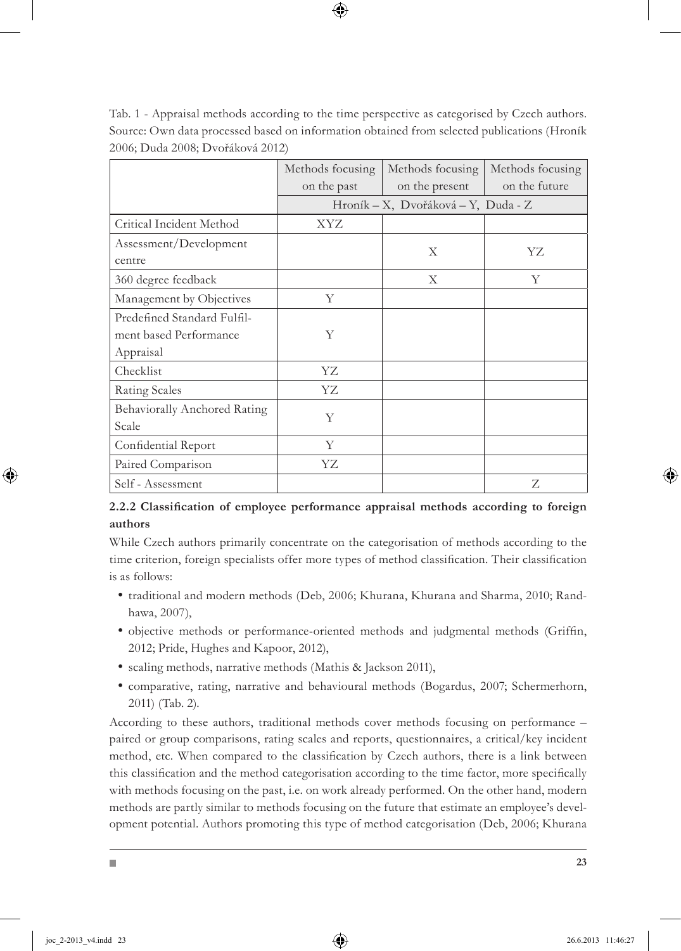|                              | Methods focusing<br>on the past | Methods focusing<br>on the present  | Methods focusing<br>on the future |
|------------------------------|---------------------------------|-------------------------------------|-----------------------------------|
|                              |                                 | Hroník – X, Dvořáková – Y, Duda - Z |                                   |
| Critical Incident Method     | XYZ                             |                                     |                                   |
| Assessment/Development       |                                 | X                                   | YZ                                |
| centre                       |                                 |                                     |                                   |
| 360 degree feedback          |                                 | X                                   | Y                                 |
| Management by Objectives     | Y                               |                                     |                                   |
| Predefined Standard Fulfil-  |                                 |                                     |                                   |
| ment based Performance       | Y                               |                                     |                                   |
| Appraisal                    |                                 |                                     |                                   |
| Checklist                    | YZ                              |                                     |                                   |
| Rating Scales                | YZ                              |                                     |                                   |
| Behaviorally Anchored Rating | Y                               |                                     |                                   |
| Scale                        |                                 |                                     |                                   |
| Confidential Report          | Y                               |                                     |                                   |
| Paired Comparison            | YΖ                              |                                     |                                   |
| Self - Assessment            |                                 |                                     | Z                                 |

Tab. 1 - Appraisal methods according to the time perspective as categorised by Czech authors. Source: Own data processed based on information obtained from selected publications (Hroník 2006; Duda 2008; Dvořáková 2012)

#### **2.2.2 Classification of employee performance appraisal methods according to foreign authors**

While Czech authors primarily concentrate on the categorisation of methods according to the time criterion, foreign specialists offer more types of method classification. Their classification is as follows:

- traditional and modern methods (Deb, 2006; Khurana, Khurana and Sharma, 2010; Rand hawa, 2007),
- objective methods or performance-oriented methods and judgmental methods (Griffin, 2012; Pride, Hughes and Kapoor, 2012),
- scaling methods, narrative methods (Mathis & Jackson 2011),
- comparative, rating, narrative and behavioural methods (Bogardus, 2007; Schermerhorn, 2011) (Tab. 2).

According to these authors, traditional methods cover methods focusing on performance – paired or group comparisons, rating scales and reports, questionnaires, a critical/key incident method, etc. When compared to the classification by Czech authors, there is a link between this classification and the method categorisation according to the time factor, more specifically with methods focusing on the past, i.e. on work already performed. On the other hand, modern methods are partly similar to methods focusing on the future that estimate an employee's development potential. Authors promoting this type of method categorisation (Deb, 2006; Khurana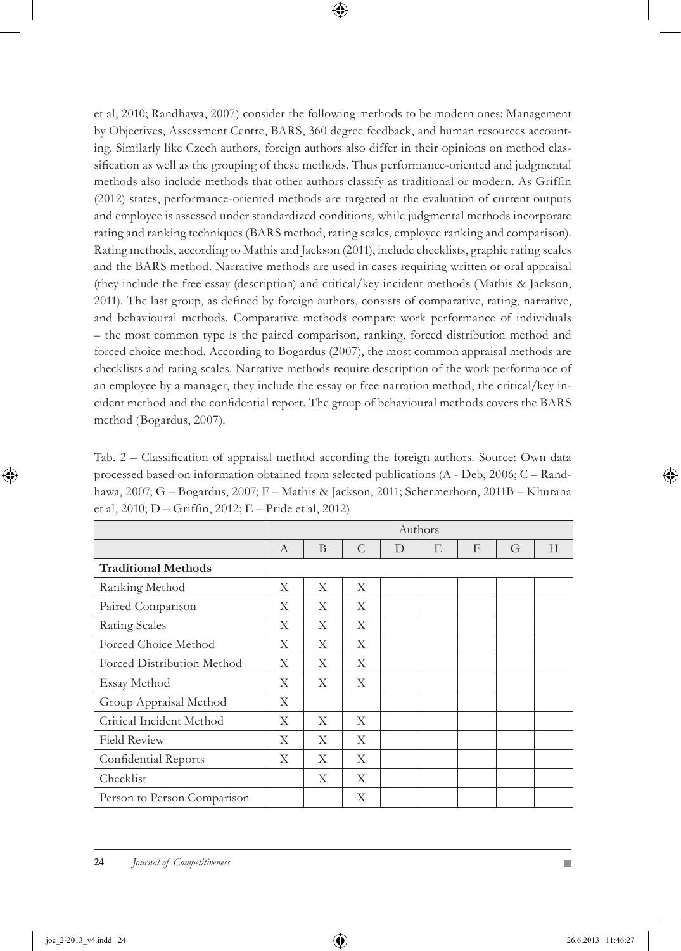et al, 2010; Randhawa, 2007) consider the following methods to be modern ones: Management by Objectives, Assessment Centre, BARS, 360 degree feedback, and human resources accounting. Similarly like Czech authors, foreign authors also differ in their opinions on method classification as well as the grouping of these methods. Thus performance-oriented and judgmental methods also include methods that other authors classify as traditional or modern. As Griffin (2012) states, performance-oriented methods are targeted at the evaluation of current outputs and employee is assessed under standardized conditions, while judgmental methods incorporate rating and ranking techniques (BARS method, rating scales, employee ranking and comparison). Rating methods, according to Mathis and Jackson (2011), include checklists, graphic rating scales and the BARS method. Narrative methods are used in cases requiring written or oral appraisal (they include the free essay (description) and critical/key incident methods (Mathis & Jackson, 2011). The last group, as defined by foreign authors, consists of comparative, rating, narrative, and behavioural methods. Comparative methods compare work performance of individuals – the most common type is the paired comparison, ranking, forced distribution method and forced choice method. According to Bogardus (2007), the most common appraisal methods are checklists and rating scales. Narrative methods require description of the work performance of an employee by a manager, they include the essay or free narration method, the critical/key incident method and the confidential report. The group of behavioural methods covers the BARS method (Bogardus, 2007).

Tab. 2 – Classification of appraisal method according the foreign authors. Source: Own data processed based on information obtained from selected publications (A - Deb, 2006; C – Randhawa, 2007; G – Bogardus, 2007; F – Mathis & Jackson, 2011; Schermerhorn, 2011B – Khurana et al, 2010; D – Griffin, 2012; E – Pride et al, 2012)

|                             | Authors      |   |               |   |   |              |   |   |
|-----------------------------|--------------|---|---------------|---|---|--------------|---|---|
|                             | $\mathbf{A}$ | B | $\mathcal{C}$ | D | E | $\mathbf{F}$ | G | H |
| <b>Traditional Methods</b>  |              |   |               |   |   |              |   |   |
| Ranking Method              | X            | X | X             |   |   |              |   |   |
| Paired Comparison           | X            | X | X             |   |   |              |   |   |
| Rating Scales               | X            | X | X             |   |   |              |   |   |
| Forced Choice Method        | X            | X | X             |   |   |              |   |   |
| Forced Distribution Method  | X            | X | X             |   |   |              |   |   |
| Essay Method                | X            | X | X             |   |   |              |   |   |
| Group Appraisal Method      | X            |   |               |   |   |              |   |   |
| Critical Incident Method    | X            | X | X             |   |   |              |   |   |
| <b>Field Review</b>         | X            | X | X             |   |   |              |   |   |
| Confidential Reports        | X            | X | X             |   |   |              |   |   |
| Checklist                   |              | X | X             |   |   |              |   |   |
| Person to Person Comparison |              |   | X             |   |   |              |   |   |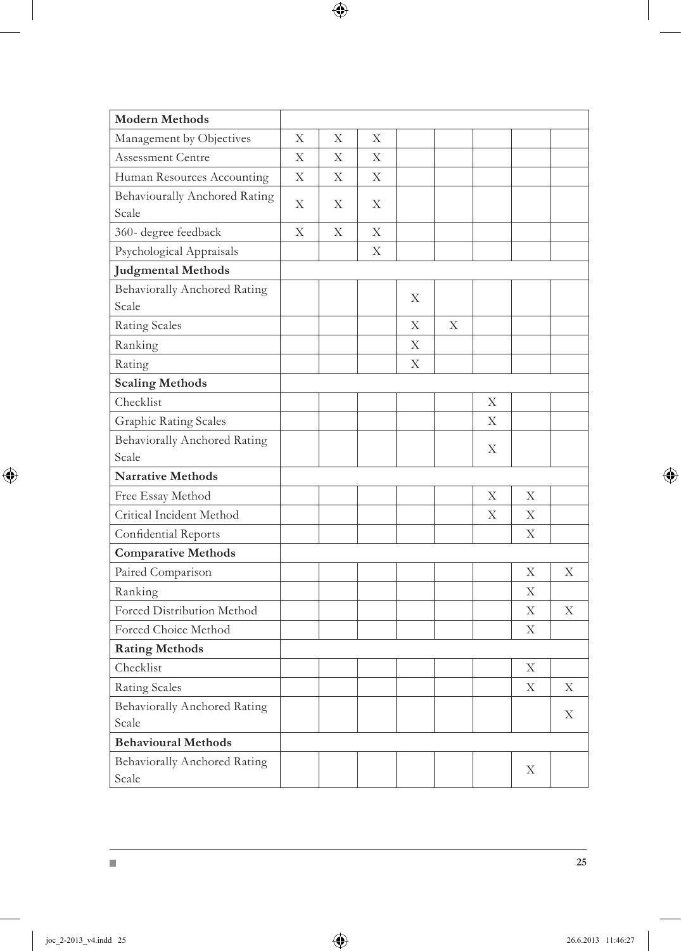| <b>Modern Methods</b>                         |   |   |   |   |   |   |   |   |
|-----------------------------------------------|---|---|---|---|---|---|---|---|
| Management by Objectives                      | Х | Х | Х |   |   |   |   |   |
| Assessment Centre                             | X | X | X |   |   |   |   |   |
| Human Resources Accounting                    | X | Χ | Χ |   |   |   |   |   |
| <b>Behaviourally Anchored Rating</b><br>Scale | Χ | X | Χ |   |   |   |   |   |
| 360- degree feedback                          | X | X | X |   |   |   |   |   |
| Psychological Appraisals                      |   |   | X |   |   |   |   |   |
| <b>Judgmental Methods</b>                     |   |   |   |   |   |   |   |   |
| <b>Behaviorally Anchored Rating</b><br>Scale  |   |   |   | X |   |   |   |   |
| <b>Rating Scales</b>                          |   |   |   | X | X |   |   |   |
| Ranking                                       |   |   |   | Χ |   |   |   |   |
| Rating                                        |   |   |   | X |   |   |   |   |
| <b>Scaling Methods</b>                        |   |   |   |   |   |   |   |   |
| Checklist                                     |   |   |   |   |   | Χ |   |   |
| <b>Graphic Rating Scales</b>                  |   |   |   |   |   | X |   |   |
| <b>Behaviorally Anchored Rating</b>           |   |   |   |   |   | X |   |   |
| Scale                                         |   |   |   |   |   |   |   |   |
| <b>Narrative Methods</b>                      |   |   |   |   |   |   |   |   |
| Free Essay Method                             |   |   |   |   |   | X | X |   |
| Critical Incident Method                      |   |   |   |   |   | Χ | X |   |
| Confidential Reports                          |   |   |   |   |   |   | X |   |
| <b>Comparative Methods</b>                    |   |   |   |   |   |   |   |   |
| Paired Comparison                             |   |   |   |   |   |   | Χ | Χ |
| Ranking                                       |   |   |   |   |   |   | X |   |
| Forced Distribution Method                    |   |   |   |   |   |   | X | X |
| Forced Choice Method                          |   |   |   |   |   |   | X |   |
| <b>Rating Methods</b>                         |   |   |   |   |   |   |   |   |
| Checklist                                     |   |   |   |   |   |   | Χ |   |
| <b>Rating Scales</b>                          |   |   |   |   |   |   | X | X |
| <b>Behaviorally Anchored Rating</b>           |   |   |   |   |   |   |   | X |
| Scale                                         |   |   |   |   |   |   |   |   |
| <b>Behavioural Methods</b>                    |   |   |   |   |   |   |   |   |
| <b>Behaviorally Anchored Rating</b><br>Scale  |   |   |   |   |   |   | Χ |   |

 $\blacksquare$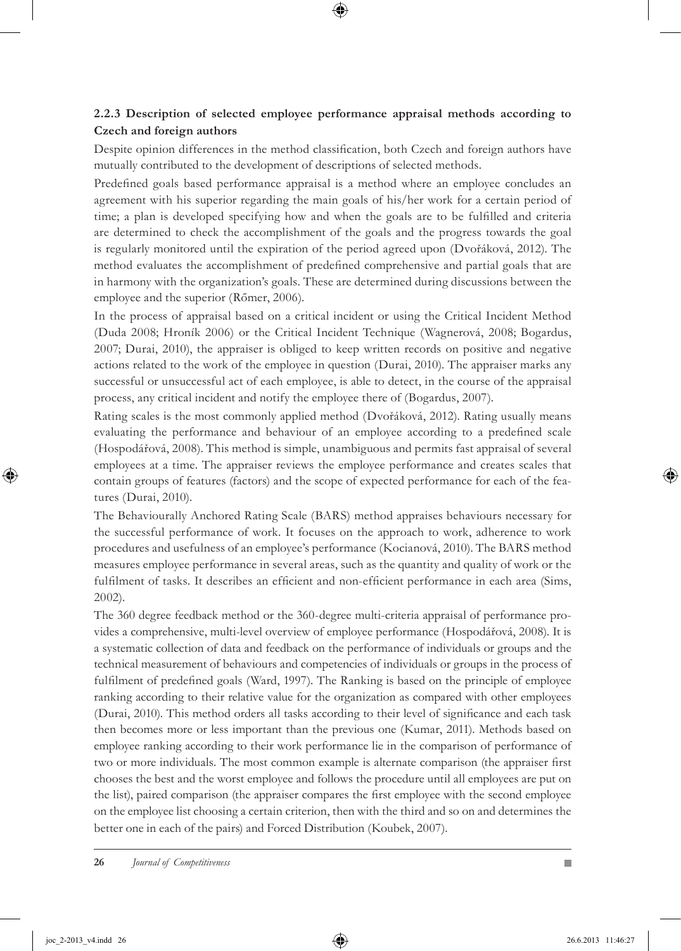#### **2.2.3 Description of selected employee performance appraisal methods according to Czech and foreign authors**

Despite opinion differences in the method classification, both Czech and foreign authors have mutually contributed to the development of descriptions of selected methods.

Predefined goals based performance appraisal is a method where an employee concludes an agreement with his superior regarding the main goals of his/her work for a certain period of time; a plan is developed specifying how and when the goals are to be fulfilled and criteria are determined to check the accomplishment of the goals and the progress towards the goal is regularly monitored until the expiration of the period agreed upon (Dvořáková, 2012). The method evaluates the accomplishment of predefined comprehensive and partial goals that are in harmony with the organization's goals. These are determined during discussions between the employee and the superior (Rőmer, 2006).

In the process of appraisal based on a critical incident or using the Critical Incident Method (Duda 2008; Hroník 2006) or the Critical Incident Technique (Wagnerová, 2008; Bogardus, 2007; Durai, 2010), the appraiser is obliged to keep written records on positive and negative actions related to the work of the employee in question (Durai, 2010). The appraiser marks any successful or unsuccessful act of each employee, is able to detect, in the course of the appraisal process, any critical incident and notify the employee there of (Bogardus, 2007).

Rating scales is the most commonly applied method (Dvořáková, 2012). Rating usually means evaluating the performance and behaviour of an employee according to a predefined scale (Hospodářová, 2008). This method is simple, unambiguous and permits fast appraisal of several employees at a time. The appraiser reviews the employee performance and creates scales that contain groups of features (factors) and the scope of expected performance for each of the features (Durai, 2010).

The Behaviourally Anchored Rating Scale (BARS) method appraises behaviours necessary for the successful performance of work. It focuses on the approach to work, adherence to work procedures and usefulness of an employee's performance (Kocianová, 2010). The BARS method measures employee performance in several areas, such as the quantity and quality of work or the fulfilment of tasks. It describes an efficient and non-efficient performance in each area (Sims, 2002).

The 360 degree feedback method or the 360-degree multi-criteria appraisal of performance provides a comprehensive, multi-level overview of employee performance (Hospodářová, 2008). It is a systematic collection of data and feedback on the performance of individuals or groups and the technical measurement of behaviours and competencies of individuals or groups in the process of fulfilment of predefined goals (Ward, 1997). The Ranking is based on the principle of employee ranking according to their relative value for the organization as compared with other employees (Durai, 2010). This method orders all tasks according to their level of significance and each task then becomes more or less important than the previous one (Kumar, 2011). Methods based on employee ranking according to their work performance lie in the comparison of performance of two or more individuals. The most common example is alternate comparison (the appraiser first chooses the best and the worst employee and follows the procedure until all employees are put on the list), paired comparison (the appraiser compares the first employee with the second employee on the employee list choosing a certain criterion, then with the third and so on and determines the better one in each of the pairs) and Forced Distribution (Koubek, 2007).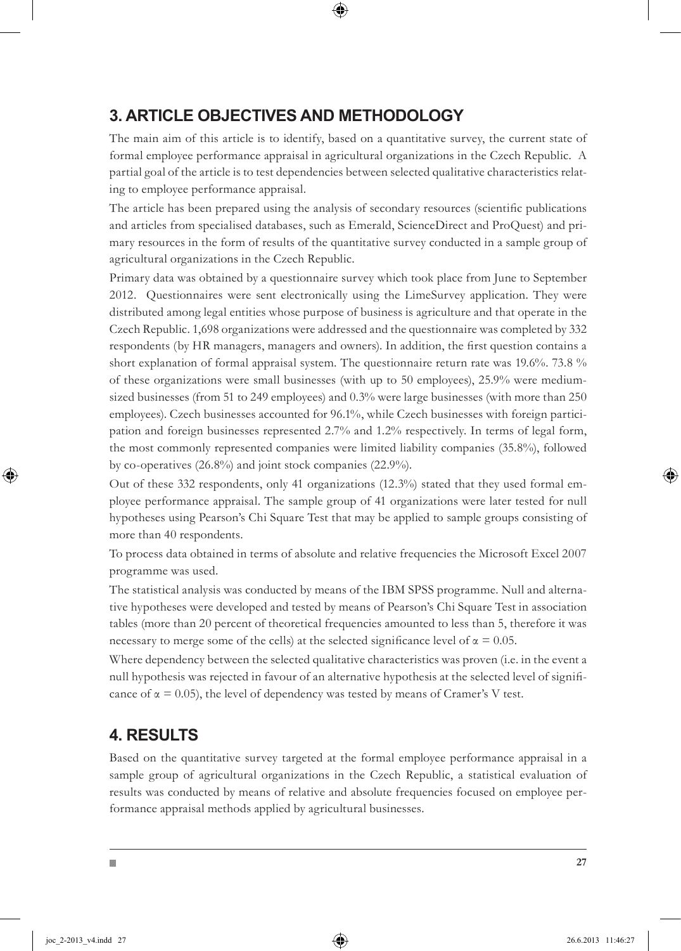## **3. ARTICLE OBJECTIVES AND METHODOLOGY**

The main aim of this article is to identify, based on a quantitative survey, the current state of formal employee performance appraisal in agricultural organizations in the Czech Republic. A partial goal of the article is to test dependencies between selected qualitative characteristics relating to employee performance appraisal.

The article has been prepared using the analysis of secondary resources (scientific publications and articles from specialised databases, such as Emerald, ScienceDirect and ProQuest) and primary resources in the form of results of the quantitative survey conducted in a sample group of agricultural organizations in the Czech Republic.

Primary data was obtained by a questionnaire survey which took place from June to September 2012. Questionnaires were sent electronically using the LimeSurvey application. They were distributed among legal entities whose purpose of business is agriculture and that operate in the Czech Republic. 1,698 organizations were addressed and the questionnaire was completed by 332 respondents (by HR managers, managers and owners). In addition, the first question contains a short explanation of formal appraisal system. The questionnaire return rate was 19.6%. 73.8 % of these organizations were small businesses (with up to 50 employees), 25.9% were mediumsized businesses (from 51 to 249 employees) and 0.3% were large businesses (with more than 250 employees). Czech businesses accounted for 96.1%, while Czech businesses with foreign participation and foreign businesses represented 2.7% and 1.2% respectively. In terms of legal form, the most commonly represented companies were limited liability companies (35.8%), followed by co-operatives (26.8%) and joint stock companies (22.9%).

Out of these 332 respondents, only 41 organizations (12.3%) stated that they used formal employee performance appraisal. The sample group of 41 organizations were later tested for null hypotheses using Pearson's Chi Square Test that may be applied to sample groups consisting of more than 40 respondents.

To process data obtained in terms of absolute and relative frequencies the Microsoft Excel 2007 programme was used.

The statistical analysis was conducted by means of the IBM SPSS programme. Null and alternative hypotheses were developed and tested by means of Pearson's Chi Square Test in association tables (more than 20 percent of theoretical frequencies amounted to less than 5, therefore it was necessary to merge some of the cells) at the selected significance level of  $\alpha = 0.05$ .

Where dependency between the selected qualitative characteristics was proven (i.e. in the event a null hypothesis was rejected in favour of an alternative hypothesis at the selected level of significance of  $\alpha = 0.05$ ), the level of dependency was tested by means of Cramer's V test.

### **4. RESULTS**

Based on the quantitative survey targeted at the formal employee performance appraisal in a sample group of agricultural organizations in the Czech Republic, a statistical evaluation of results was conducted by means of relative and absolute frequencies focused on employee performance appraisal methods applied by agricultural businesses.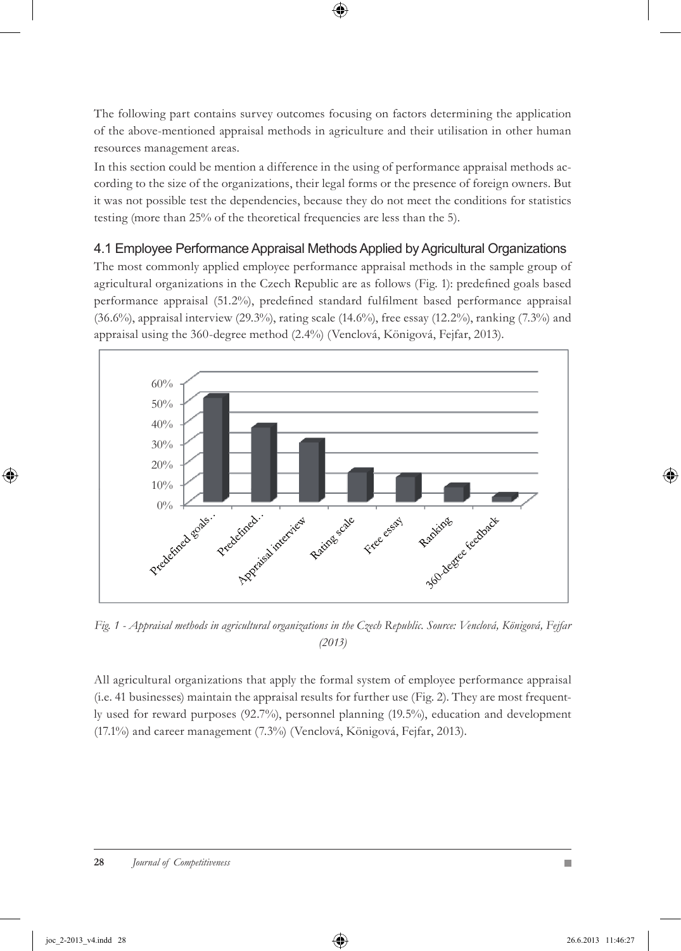The following part contains survey outcomes focusing on factors determining the application of the above-mentioned appraisal methods in agriculture and their utilisation in other human resources management areas.

In this section could be mention a difference in the using of performance appraisal methods according to the size of the organizations, their legal forms or the presence of foreign owners. But it was not possible test the dependencies, because they do not meet the conditions for statistics testing (more than 25% of the theoretical frequencies are less than the 5).

#### 4.1 Employee Performance Appraisal Methods Applied by Agricultural Organizations

The most commonly applied employee performance appraisal methods in the sample group of agricultural organizations in the Czech Republic are as follows (Fig. 1): predefined goals based performance appraisal (51.2%), predefined standard fulfilment based performance appraisal (36.6%), appraisal interview (29.3%), rating scale (14.6%), free essay (12.2%), ranking (7.3%) and appraisal using the 360-degree method (2.4%) (Venclová, Königová, Fejfar, 2013).



*Fig. 1 - Appraisal methods in agricultural organizations in the Czech Republic. Source: Venclová, Königová, Fejfar (2013)*

All agricultural organizations that apply the formal system of employee performance appraisal (i.e. 41 businesses) maintain the appraisal results for further use (Fig. 2). They are most frequently used for reward purposes (92.7%), personnel planning (19.5%), education and development (17.1%) and career management (7.3%) (Venclová, Königová, Fejfar, 2013).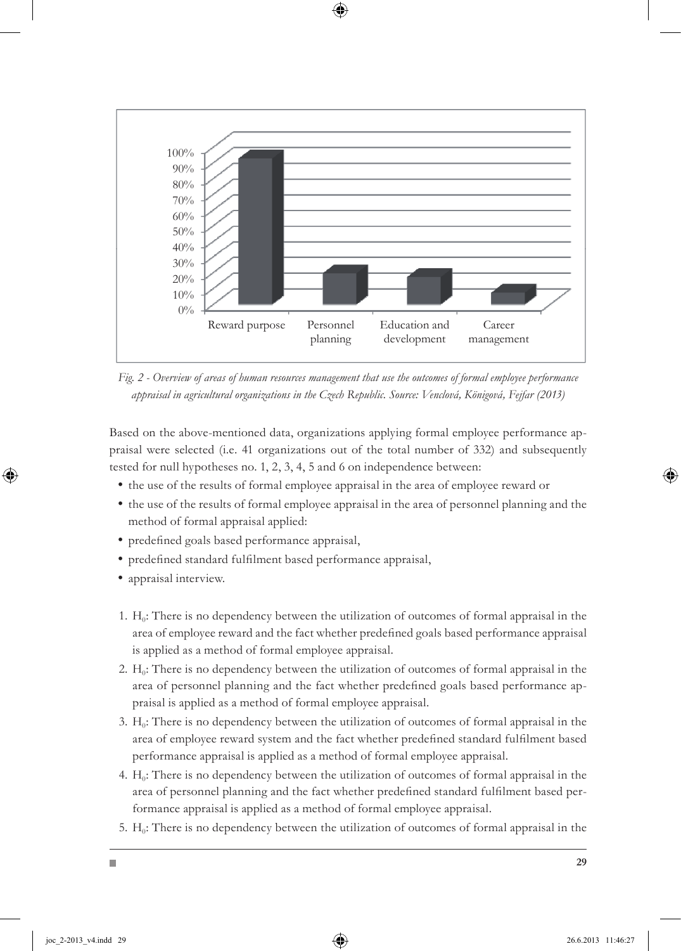

*Fig. 2 - Overview of areas of human resources management that use the outcomes of formal employee performance appraisal in agricultural organizations in the Czech Republic. Source: Venclová, Königová, Fejfar (2013)*

Based on the above-mentioned data, organizations applying formal employee performance appraisal were selected (i.e. 41 organizations out of the total number of 332) and subsequently tested for null hypotheses no. 1, 2, 3, 4, 5 and 6 on independence between:

- the use of the results of formal employee appraisal in the area of employee reward or
- the use of the results of formal employee appraisal in the area of personnel planning and the method of formal appraisal applied:
- predefined goals based performance appraisal,
- predefined standard fulfilment based performance appraisal,
- appraisal interview.
- 1.  $H_0$ : There is no dependency between the utilization of outcomes of formal appraisal in the area of employee reward and the fact whether predefined goals based performance appraisal is applied as a method of formal employee appraisal.
- 2.  $H_0$ : There is no dependency between the utilization of outcomes of formal appraisal in the area of personnel planning and the fact whether predefined goals based performance appraisal is applied as a method of formal employee appraisal.
- 3.  $H_0$ : There is no dependency between the utilization of outcomes of formal appraisal in the area of employee reward system and the fact whether predefined standard fulfilment based performance appraisal is applied as a method of formal employee appraisal.
- 4.  $H_0$ : There is no dependency between the utilization of outcomes of formal appraisal in the area of personnel planning and the fact whether predefined standard fulfilment based performance appraisal is applied as a method of formal employee appraisal.
- 5.  $H_0$ : There is no dependency between the utilization of outcomes of formal appraisal in the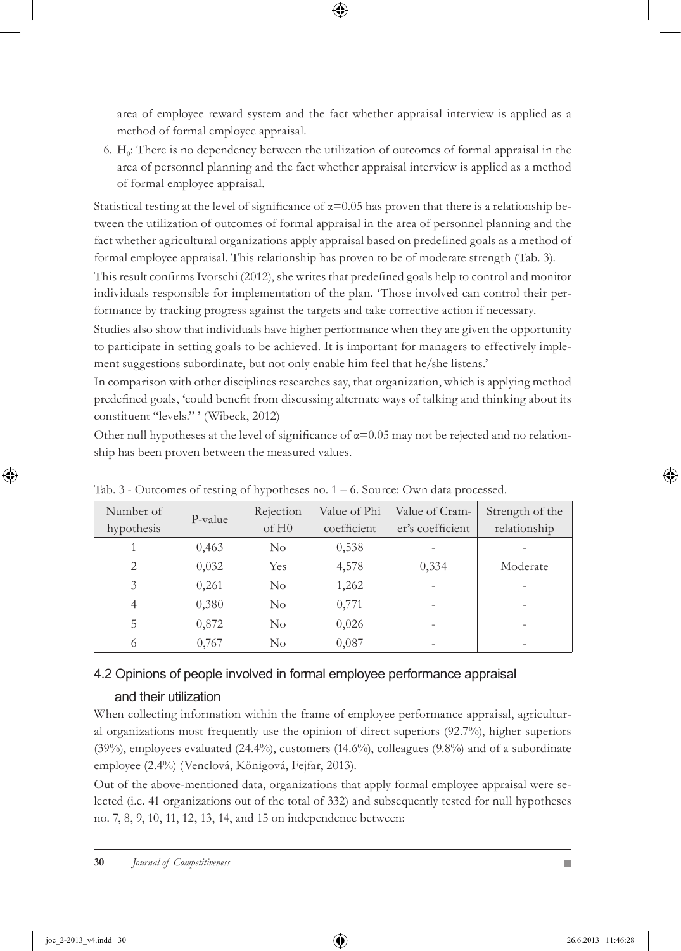area of employee reward system and the fact whether appraisal interview is applied as a method of formal employee appraisal.

6.  $H_0$ : There is no dependency between the utilization of outcomes of formal appraisal in the area of personnel planning and the fact whether appraisal interview is applied as a method of formal employee appraisal.

Statistical testing at the level of significance of  $\alpha$ =0.05 has proven that there is a relationship between the utilization of outcomes of formal appraisal in the area of personnel planning and the fact whether agricultural organizations apply appraisal based on predefined goals as a method of formal employee appraisal. This relationship has proven to be of moderate strength (Tab. 3).

This result confirms Ivorschi (2012), she writes that predefined goals help to control and monitor individuals responsible for implementation of the plan. 'Those involved can control their performance by tracking progress against the targets and take corrective action if necessary.

Studies also show that individuals have higher performance when they are given the opportunity to participate in setting goals to be achieved. It is important for managers to effectively implement suggestions subordinate, but not only enable him feel that he/she listens.'

In comparison with other disciplines researches say, that organization, which is applying method predefined goals, 'could benefit from discussing alternate ways of talking and thinking about its constituent "levels." ' (Wibeck, 2012)

Other null hypotheses at the level of significance of  $\alpha$ =0.05 may not be rejected and no relationship has been proven between the measured values.

| Number of<br>hypothesis | P-value | Rejection<br>of H <sub>0</sub> | Value of Phi<br>coefficient | Value of Cram-<br>er's coefficient | Strength of the<br>relationship |
|-------------------------|---------|--------------------------------|-----------------------------|------------------------------------|---------------------------------|
|                         |         |                                |                             |                                    |                                 |
|                         | 0,463   | $\rm No$                       | 0,538                       |                                    |                                 |
| 2                       | 0,032   | Yes                            | 4,578                       | 0,334                              | Moderate                        |
| 3                       | 0,261   | $\rm No$                       | 1,262                       |                                    |                                 |
| 4                       | 0,380   | $\rm No$                       | 0,771                       | $\overline{\phantom{0}}$           | $\overline{\phantom{a}}$        |
| 5                       | 0,872   | $\rm No$                       | 0,026                       |                                    |                                 |
| 6                       | 0,767   | $\rm No$                       | 0,087                       | $\overline{\phantom{a}}$           | $\equiv$                        |

Tab.  $3$  - Outcomes of testing of hypotheses no.  $1 - 6$ . Source: Own data processed.

### 4.2 Opinions of people involved in formal employee performance appraisal

### and their utilization

When collecting information within the frame of employee performance appraisal, agricultural organizations most frequently use the opinion of direct superiors (92.7%), higher superiors  $(39\%)$ , employees evaluated  $(24.4\%)$ , customers  $(14.6\%)$ , colleagues  $(9.8\%)$  and of a subordinate employee (2.4%) (Venclová, Königová, Fejfar, 2013).

Out of the above-mentioned data, organizations that apply formal employee appraisal were selected (i.e. 41 organizations out of the total of 332) and subsequently tested for null hypotheses no. 7, 8, 9, 10, 11, 12, 13, 14, and 15 on independence between: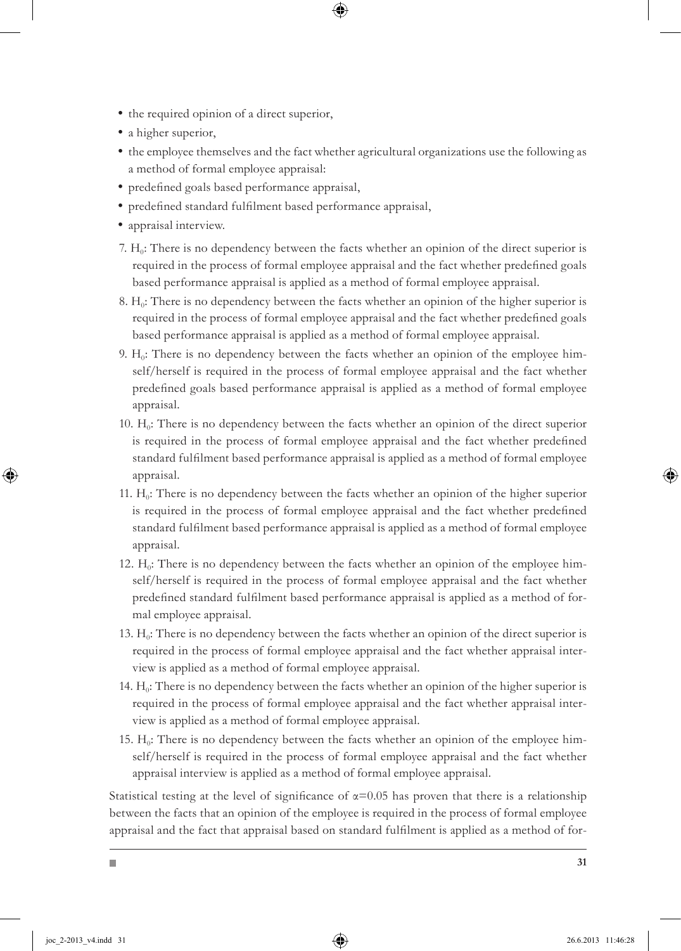- $\bullet$  the required opinion of a direct superior,
- a higher superior,
- the employee themselves and the fact whether agricultural organizations use the following as a method of formal employee appraisal:
- predefined goals based performance appraisal,
- predefined standard fulfilment based performance appraisal,
- appraisal interview.
- 7. H<sub>0</sub>: There is no dependency between the facts whether an opinion of the direct superior is required in the process of formal employee appraisal and the fact whether predefined goals based performance appraisal is applied as a method of formal employee appraisal.
- 8. H<sub>0</sub>: There is no dependency between the facts whether an opinion of the higher superior is required in the process of formal employee appraisal and the fact whether predefined goals based performance appraisal is applied as a method of formal employee appraisal.
- 9.  $H_0$ : There is no dependency between the facts whether an opinion of the employee himself/herself is required in the process of formal employee appraisal and the fact whether predefined goals based performance appraisal is applied as a method of formal employee appraisal.
- 10.  $H_0$ : There is no dependency between the facts whether an opinion of the direct superior is required in the process of formal employee appraisal and the fact whether predefined standard fulfilment based performance appraisal is applied as a method of formal employee appraisal.
- 11.  $H_0$ : There is no dependency between the facts whether an opinion of the higher superior is required in the process of formal employee appraisal and the fact whether predefined standard fulfilment based performance appraisal is applied as a method of formal employee appraisal.
- 12.  $H_0$ : There is no dependency between the facts whether an opinion of the employee himself/herself is required in the process of formal employee appraisal and the fact whether predefined standard fulfilment based performance appraisal is applied as a method of formal employee appraisal.
- 13.  $H_0$ : There is no dependency between the facts whether an opinion of the direct superior is required in the process of formal employee appraisal and the fact whether appraisal interview is applied as a method of formal employee appraisal.
- 14.  $H_0$ : There is no dependency between the facts whether an opinion of the higher superior is required in the process of formal employee appraisal and the fact whether appraisal interview is applied as a method of formal employee appraisal.
- 15.  $H_0$ : There is no dependency between the facts whether an opinion of the employee himself/herself is required in the process of formal employee appraisal and the fact whether appraisal interview is applied as a method of formal employee appraisal.

Statistical testing at the level of significance of  $\alpha$ =0.05 has proven that there is a relationship between the facts that an opinion of the employee is required in the process of formal employee appraisal and the fact that appraisal based on standard fulfilment is applied as a method of for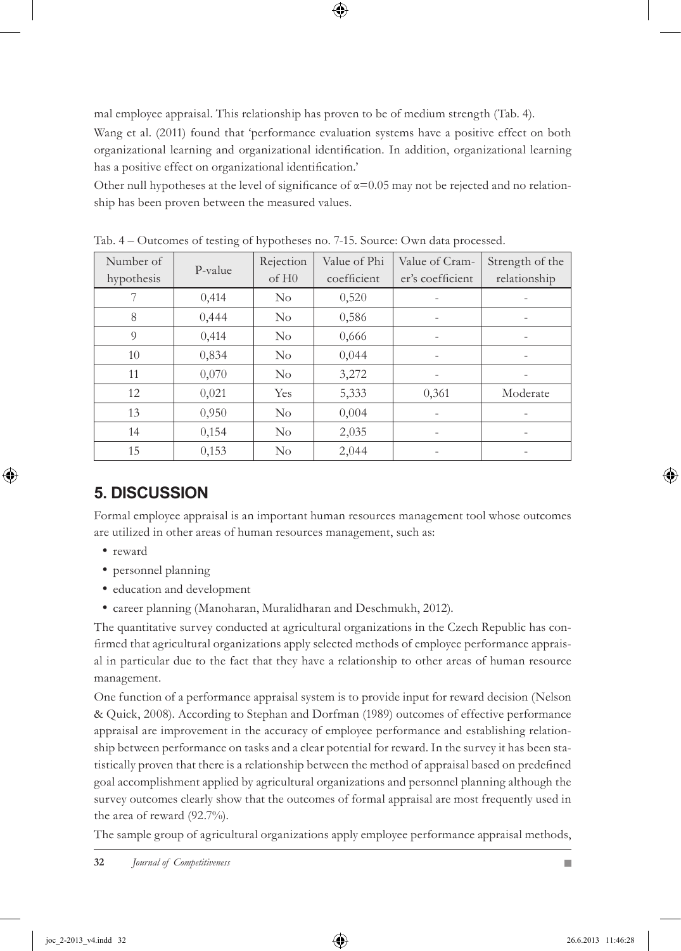mal employee appraisal. This relationship has proven to be of medium strength (Tab. 4).

Wang et al. (2011) found that 'performance evaluation systems have a positive effect on both organizational learning and organizational identification. In addition, organizational learning has a positive effect on organizational identification.'

Other null hypotheses at the level of significance of  $\alpha$ =0.05 may not be rejected and no relationship has been proven between the measured values.

|            | $\circ$ | $\sqrt{1}$        |              | $\mathbf{I}$     |                          |
|------------|---------|-------------------|--------------|------------------|--------------------------|
| Number of  | P-value | Rejection         | Value of Phi | Value of Cram-   | Strength of the          |
| hypothesis |         | of H <sub>0</sub> | coefficient  | er's coefficient | relationship             |
| 7          | 0,414   | $\rm No$          | 0,520        |                  |                          |
| 8          | 0,444   | $\rm No$          | 0,586        |                  |                          |
| 9          | 0,414   | $\rm No$          | 0,666        |                  |                          |
| 10         | 0,834   | $\rm No$          | 0,044        | -                | $\overline{\phantom{a}}$ |
| 11         | 0,070   | $\rm No$          | 3,272        |                  |                          |
| 12         | 0,021   | <b>Yes</b>        | 5,333        | 0,361            | Moderate                 |
| 13         | 0,950   | $\rm No$          | 0,004        |                  |                          |
| 14         | 0,154   | $\rm No$          | 2,035        |                  |                          |
| 15         | 0,153   | $\rm No$          | 2,044        |                  |                          |

Tab. 4 – Outcomes of testing of hypotheses no. 7-15. Source: Own data processed.

# **5. DISCUSSION**

Formal employee appraisal is an important human resources management tool whose outcomes are utilized in other areas of human resources management, such as:

- reward
- personnel planning
- education and development
- career planning (Manoharan, Muralidharan and Deschmukh, 2012).

The quantitative survey conducted at agricultural organizations in the Czech Republic has confirmed that agricultural organizations apply selected methods of employee performance appraisal in particular due to the fact that they have a relationship to other areas of human resource management.

One function of a performance appraisal system is to provide input for reward decision (Nelson & Quick, 2008). According to Stephan and Dorfman (1989) outcomes of effective performance appraisal are improvement in the accuracy of employee performance and establishing relationship between performance on tasks and a clear potential for reward. In the survey it has been statistically proven that there is a relationship between the method of appraisal based on predefined goal accomplishment applied by agricultural organizations and personnel planning although the survey outcomes clearly show that the outcomes of formal appraisal are most frequently used in the area of reward (92.7%).

The sample group of agricultural organizations apply employee performance appraisal methods,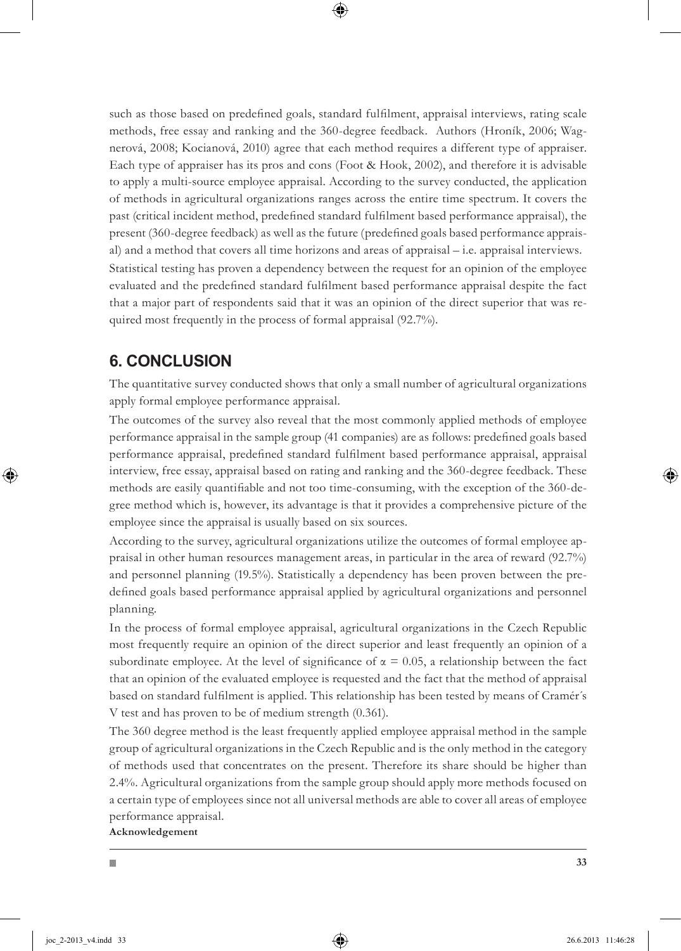such as those based on predefined goals, standard fulfilment, appraisal interviews, rating scale methods, free essay and ranking and the 360-degree feedback. Authors (Hroník, 2006; Wagnerová, 2008; Kocianová, 2010) agree that each method requires a different type of appraiser. Each type of appraiser has its pros and cons (Foot & Hook, 2002), and therefore it is advisable to apply a multi-source employee appraisal. According to the survey conducted, the application of methods in agricultural organizations ranges across the entire time spectrum. It covers the past (critical incident method, predefined standard fulfilment based performance appraisal), the present (360-degree feedback) as well as the future (predefined goals based performance appraisal) and a method that covers all time horizons and areas of appraisal – i.e. appraisal interviews. Statistical testing has proven a dependency between the request for an opinion of the employee evaluated and the predefined standard fulfilment based performance appraisal despite the fact that a major part of respondents said that it was an opinion of the direct superior that was required most frequently in the process of formal appraisal (92.7%).

### **6. CONCLUSION**

The quantitative survey conducted shows that only a small number of agricultural organizations apply formal employee performance appraisal.

The outcomes of the survey also reveal that the most commonly applied methods of employee performance appraisal in the sample group (41 companies) are as follows: predefined goals based performance appraisal, predefined standard fulfilment based performance appraisal, appraisal interview, free essay, appraisal based on rating and ranking and the 360-degree feedback. These methods are easily quantifiable and not too time-consuming, with the exception of the 360-degree method which is, however, its advantage is that it provides a comprehensive picture of the employee since the appraisal is usually based on six sources.

According to the survey, agricultural organizations utilize the outcomes of formal employee appraisal in other human resources management areas, in particular in the area of reward (92.7%) and personnel planning (19.5%). Statistically a dependency has been proven between the predefined goals based performance appraisal applied by agricultural organizations and personnel planning.

In the process of formal employee appraisal, agricultural organizations in the Czech Republic most frequently require an opinion of the direct superior and least frequently an opinion of a subordinate employee. At the level of significance of  $\alpha = 0.05$ , a relationship between the fact that an opinion of the evaluated employee is requested and the fact that the method of appraisal based on standard fulfilment is applied. This relationship has been tested by means of Cramér´s V test and has proven to be of medium strength (0.361).

The 360 degree method is the least frequently applied employee appraisal method in the sample group of agricultural organizations in the Czech Republic and is the only method in the category of methods used that concentrates on the present. Therefore its share should be higher than 2.4%. Agricultural organizations from the sample group should apply more methods focused on a certain type of employees since not all universal methods are able to cover all areas of employee performance appraisal.

**Acknowledgement**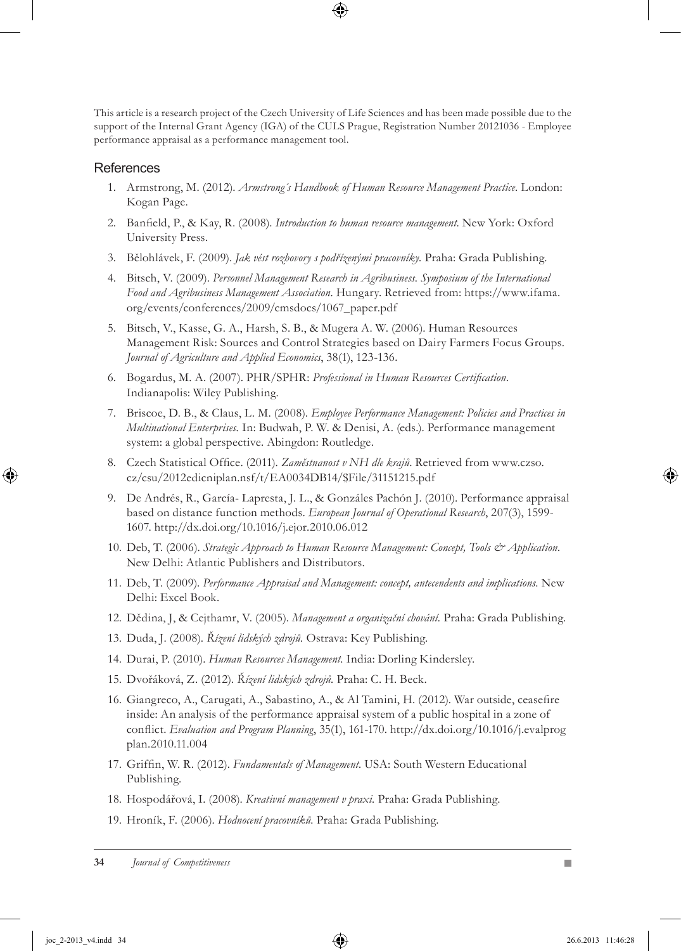This article is a research project of the Czech University of Life Sciences and has been made possible due to the support of the Internal Grant Agency (IGA) of the CULS Prague, Registration Number 20121036 - Employee performance appraisal as a performance management tool.

#### **References**

- 1. Armstrong, M. (2012). Armstrong's Handbook of Human Resource Management Practice. London: Kogan Page.
- Banfield, P., & Kay, R. (2008). *Introduction to human resource management*. New York: Oxford 2. University Press.
- 3. Bělohlávek, F. (2009). Jak vést rozhovory s podřízenými pracovníky. Praha: Grada Publishing.
- 4. Bitsch, V. (2009). Personnel Management Research in Agribusiness. Symposium of the International *Food and Agribusiness Management Association.* Hungary. Retrieved from: https://www.ifama. org/events/conferences/2009/cmsdocs/1067\_paper.pdf
- 5. Bitsch, V., Kasse, G. A., Harsh, S. B., & Mugera A. W. (2006). Human Resources Management Risk: Sources and Control Strategies based on Dairy Farmers Focus Groups. *Journal of Agriculture and Applied Economics*, 38(1), 123-136.
- Bogardus, M. A. (2007). PHR/SPHR: *Professional in Human Resources Certification*. 6. Indianapolis: Wiley Publishing.
- Briscoe, D. B., & Claus, L. M. (2008). *Employee Performance Management: Policies and Practices in*  7. *Multinational Enterprises.* In: Budwah, P. W. & Denisi, A. (eds.). Performance management system: a global perspective. Abingdon: Routledge.
- 8. Czech Statistical Office. (2011). Zaměstnanost v NH dle krajů. Retrieved from www.czso. cz/csu/2012edicniplan.nsf/t/EA0034DB14/\$File/31151215.pdf
- 9. De Andrés, R., García- Lapresta, J. L., & Gonzáles Pachón J. (2010). Performance appraisal based on distance function methods. *European Journal of Operational Research*, 207(3), 1599- 1607. http://dx.doi.org/10.1016/j.ejor.2010.06.012
- 10. Deb, T. (2006). *Strategic Approach to Human Resource Management: Concept, Tools & Application*. New Delhi: Atlantic Publishers and Distributors.
- 11. Deb, T. (2009). Performance Appraisal and Management: concept, antecendents and implications. New Delhi: Excel Book.
- 12. Dědina, J, & Cejthamr, V. (2005). Management a organizační chování. Praha: Grada Publishing.
- 13. Duda, J. (2008). Řízení lidských zdrojů. Ostrava: Key Publishing.
- 14. Durai, P. (2010). Human Resources Management. India: Dorling Kindersley.
- 15. Dvořáková, Z. (2012). Ř*ízení lidských zdrojů*. Praha: C. H. Beck.
- 16. Giangreco, A., Carugati, A., Sabastino, A., & Al Tamini, H. (2012). War outside, ceasefire inside: An analysis of the performance appraisal system of a public hospital in a zone of conflict. *Evaluation and Program Planning*, 35(1), 161-170. http://dx.doi.org/10.1016/j.evalprog plan.2010.11.004
- 17. Griffin, W. R. (2012). Fundamentals of Management. USA: South Western Educational Publishing.
- 18. Hospodářová, I. (2008). *Kreativní management v praxi*. Praha: Grada Publishing.
- 19. Hroník, F. (2006). Hodnocení pracovníků. Praha: Grada Publishing.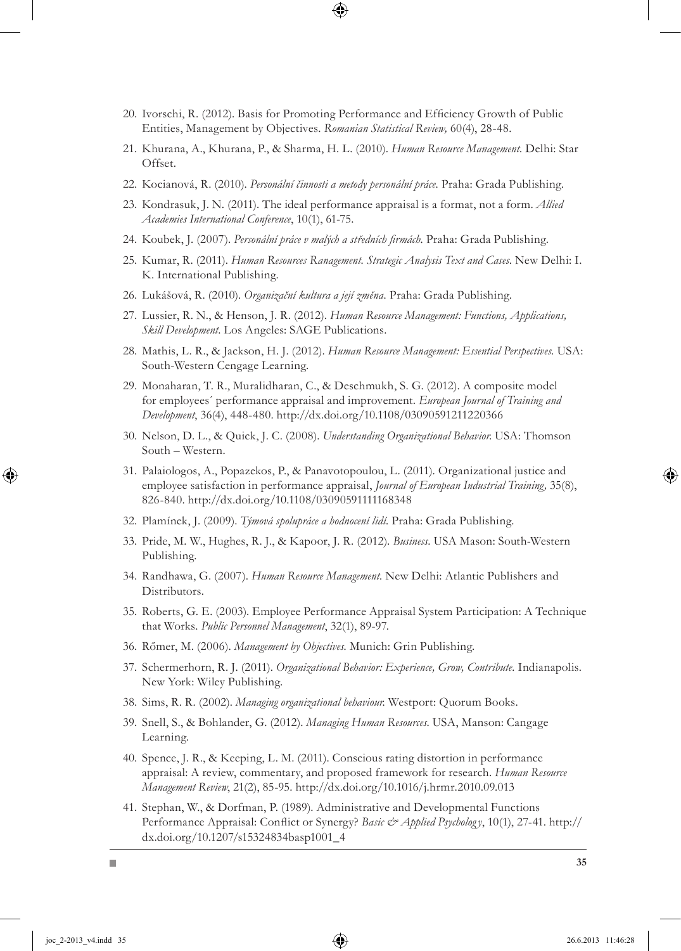- 20. Ivorschi, R. (2012). Basis for Promoting Performance and Efficiency Growth of Public Entities, Management by Objectives. *Romanian Statistical Review,* 60(4), 28-48.
- 21. Khurana, A., Khurana, P., & Sharma, H. L. (2010). *Human Resource Management*. Delhi: Star Offset.
- 22. Kocianová, R. (2010). *Personální činnosti a metody personální práce*. Praha: Grada Publishing.
- 23. Kondrasuk, J. N. (2011). The ideal performance appraisal is a format, not a form. *Allied Academies International Conference*, 10(1), 61-75.
- 24. Koubek, J. (2007). *Personální práce v malých a středních firmách*. Praha: Grada Publishing.
- 25. Kumar, R. (2011). *Human Resources Ranagement. Strategic Analysis Text and Cases*. New Delhi: I. K. International Publishing.
- 26. Lukášová, R. (2010). Organizační kultura a její změna. Praha: Grada Publishing.
- 27. Lussier, R. N., & Henson, J. R. (2012). *Human Resource Management: Functions, Applications*, *Skill Development*. Los Angeles: SAGE Publications.
- 28. Mathis, L. R., & Jackson, H. J. (2012). *Human Resource Management: Essential Perspectives*. USA: South-Western Cengage Learning.
- 29. Monaharan, T. R., Muralidharan, C., & Deschmukh, S. G. (2012). A composite model for employees´ performance appraisal and improvement. *European Journal of Training and Development*, 36(4), 448-480. http://dx.doi.org/10.1108/03090591211220366
- 30. Nelson, D. L., & Quick, J. C. (2008). *Understanding Organizational Behavior*. USA: Thomson South – Western.
- 31. Palaiologos, A., Popazekos, P., & Panavotopoulou, L. (2011). Organizational justice and employee satisfaction in performance appraisal, *Journal of European Industrial Training,* 35(8), 826-840. http://dx.doi.org/10.1108/03090591111168348
- 32. Plamínek, J. (2009). Týmová spolupráce a hodnocení lidí. Praha: Grada Publishing.
- 33. Pride, M. W., Hughes, R. J., & Kapoor, J. R. (2012). *Business*. USA Mason: South-Western Publishing.
- 34. Randhawa, G. (2007). Human Resource Management. New Delhi: Atlantic Publishers and Distributors.
- 35. Roberts, G. E. (2003). Employee Performance Appraisal System Participation: A Technique that Works. *Public Personnel Management*, 32(1), 89-97.
- 36. Rőmer, M. (2006). Management by Objectives. Munich: Grin Publishing.
- 37. Schermerhorn, R. J. (2011). *Organizational Behavior: Experience, Grow, Contribute*. Indianapolis. New York: Wiley Publishing.
- Sims, R. R. (2002). *Managing organizational behaviour.* Westport: Quorum Books. 38.
- 39. Snell, S., & Bohlander, G. (2012). *Managing Human Resources*. USA, Manson: Cangage Learning.
- 40. Spence, J. R., & Keeping, L. M. (2011). Conscious rating distortion in performance appraisal: A review, commentary, and proposed framework for research. *Human Resource Management Review*, 21(2), 85-95. http://dx.doi.org/10.1016/j.hrmr.2010.09.013
- 41. Stephan, W., & Dorfman, P. (1989). Administrative and Developmental Functions Performance Appraisal: Conflict or Synergy? *Basic & Applied Psycholog y*, 10(1), 27-41. http:// dx.doi.org/10.1207/s15324834basp1001\_4